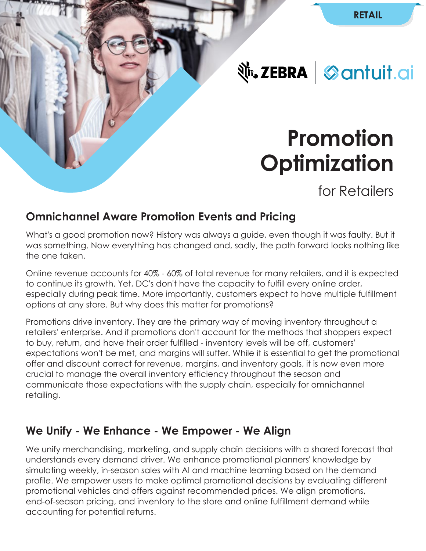**Nr. ZEBRA** Santuit.ai

# **Promotion Optimization**

for Retailers

# **Omnichannel Aware Promotion Events and Pricing**

What's a good promotion now? History was always a guide, even though it was faulty. But it was something. Now everything has changed and, sadly, the path forward looks nothing like the one taken.

Online revenue accounts for 40% - 60% of total revenue for many retailers, and it is expected to continue its growth. Yet, DC's don't have the capacity to fulfill every online order, especially during peak time. More importantly, customers expect to have multiple fulfillment options at any store. But why does this matter for promotions?

Promotions drive inventory. They are the primary way of moving inventory throughout a retailers' enterprise. And if promotions don't account for the methods that shoppers expect to buy, return, and have their order fulfilled - inventory levels will be off, customers' expectations won't be met, and margins will suffer. While it is essential to get the promotional offer and discount correct for revenue, margins, and inventory goals, it is now even more crucial to manage the overall inventory efficiency throughout the season and communicate those expectations with the supply chain, especially for omnichannel retailing.

# **We Unify - We Enhance - We Empower - We Align**

We unify merchandising, marketing, and supply chain decisions with a shared forecast that understands every demand driver. We enhance promotional planners' knowledge by simulating weekly, in-season sales with AI and machine learning based on the demand profile. We empower users to make optimal promotional decisions by evaluating different promotional vehicles and offers against recommended prices. We align promotions, end-of-season pricing, and inventory to the store and online fulfillment demand while accounting for potential returns.